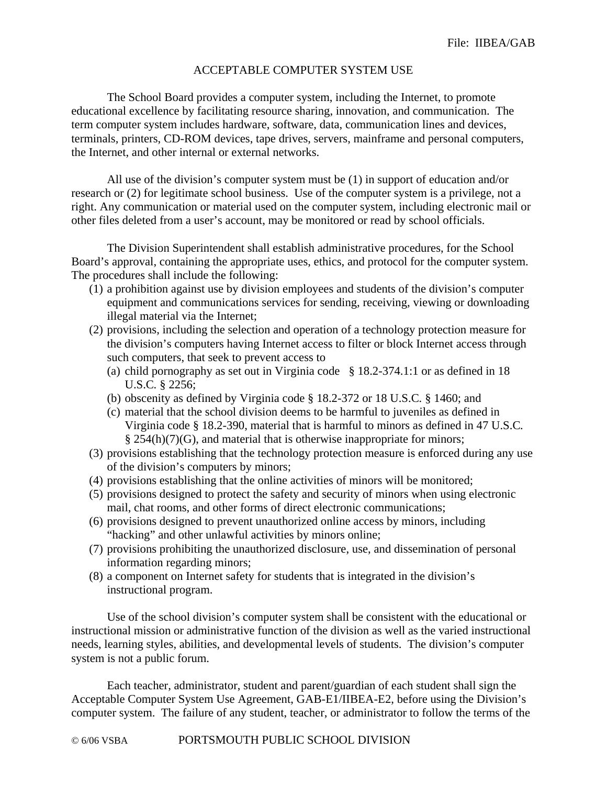## ACCEPTABLE COMPUTER SYSTEM USE

 The School Board provides a computer system, including the Internet, to promote educational excellence by facilitating resource sharing, innovation, and communication. The term computer system includes hardware, software, data, communication lines and devices, terminals, printers, CD-ROM devices, tape drives, servers, mainframe and personal computers, the Internet, and other internal or external networks.

 All use of the division's computer system must be (1) in support of education and/or research or (2) for legitimate school business. Use of the computer system is a privilege, not a right. Any communication or material used on the computer system, including electronic mail or other files deleted from a user's account, may be monitored or read by school officials.

The Division Superintendent shall establish administrative procedures, for the School Board's approval, containing the appropriate uses, ethics, and protocol for the computer system. The procedures shall include the following:

- (1) a prohibition against use by division employees and students of the division's computer equipment and communications services for sending, receiving, viewing or downloading illegal material via the Internet;
- (2) provisions, including the selection and operation of a technology protection measure for the division's computers having Internet access to filter or block Internet access through such computers, that seek to prevent access to
	- (a) child pornography as set out in Virginia code § 18.2-374.1:1 or as defined in 18 U.S.C*.* § 2256;
	- (b) obscenity as defined by Virginia code § 18.2-372 or 18 U.S.C*.* § 1460; and
	- (c) material that the school division deems to be harmful to juveniles as defined in Virginia code § 18.2-390, material that is harmful to minors as defined in 47 U.S.C*.* § 254(h)(7)(G), and material that is otherwise inappropriate for minors;
- (3) provisions establishing that the technology protection measure is enforced during any use of the division's computers by minors;
- (4) provisions establishing that the online activities of minors will be monitored;
- (5) provisions designed to protect the safety and security of minors when using electronic mail, chat rooms, and other forms of direct electronic communications;
- (6) provisions designed to prevent unauthorized online access by minors, including "hacking" and other unlawful activities by minors online;
- (7) provisions prohibiting the unauthorized disclosure, use, and dissemination of personal information regarding minors;
- (8) a component on Internet safety for students that is integrated in the division's instructional program.

 Use of the school division's computer system shall be consistent with the educational or instructional mission or administrative function of the division as well as the varied instructional needs, learning styles, abilities, and developmental levels of students. The division's computer system is not a public forum.

 Each teacher, administrator, student and parent/guardian of each student shall sign the Acceptable Computer System Use Agreement, GAB-E1/IIBEA-E2, before using the Division's computer system. The failure of any student, teacher, or administrator to follow the terms of the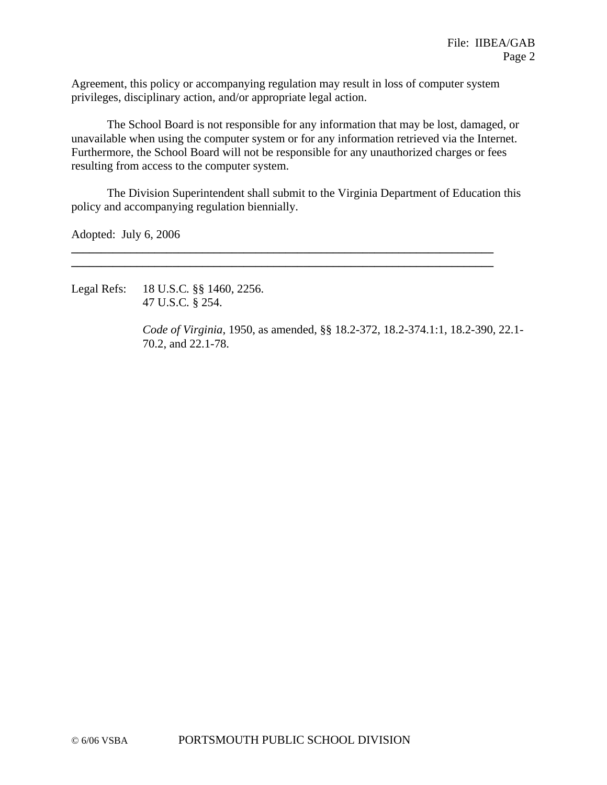Agreement, this policy or accompanying regulation may result in loss of computer system privileges, disciplinary action, and/or appropriate legal action.

 The School Board is not responsible for any information that may be lost, damaged, or unavailable when using the computer system or for any information retrieved via the Internet. Furthermore, the School Board will not be responsible for any unauthorized charges or fees resulting from access to the computer system.

 The Division Superintendent shall submit to the Virginia Department of Education this policy and accompanying regulation biennially.

**\_\_\_\_\_\_\_\_\_\_\_\_\_\_\_\_\_\_\_\_\_\_\_\_\_\_\_\_\_\_\_\_\_\_\_\_\_\_\_\_\_\_\_\_\_\_\_\_\_\_\_\_\_\_\_\_\_\_\_\_\_\_\_\_\_\_\_\_\_\_\_ \_\_\_\_\_\_\_\_\_\_\_\_\_\_\_\_\_\_\_\_\_\_\_\_\_\_\_\_\_\_\_\_\_\_\_\_\_\_\_\_\_\_\_\_\_\_\_\_\_\_\_\_\_\_\_\_\_\_\_\_\_\_\_\_\_\_\_\_\_\_\_** 

Adopted: July 6, 2006

Legal Refs: 18 U.S.C*.* §§ 1460, 2256. 47 U.S.C*.* § 254.

> *Code of Virginia*, 1950, as amended, §§ 18.2-372, 18.2-374.1:1, 18.2-390, 22.1- 70.2, and 22.1-78.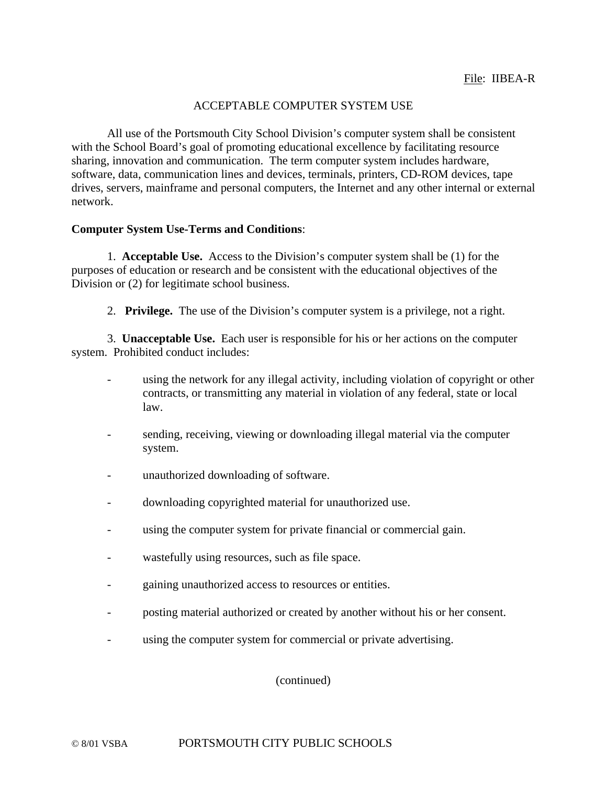## ACCEPTABLE COMPUTER SYSTEM USE

All use of the Portsmouth City School Division's computer system shall be consistent with the School Board's goal of promoting educational excellence by facilitating resource sharing, innovation and communication. The term computer system includes hardware, software, data, communication lines and devices, terminals, printers, CD-ROM devices, tape drives, servers, mainframe and personal computers, the Internet and any other internal or external network.

## **Computer System Use-Terms and Conditions**:

1. **Acceptable Use.** Access to the Division's computer system shall be (1) for the purposes of education or research and be consistent with the educational objectives of the Division or (2) for legitimate school business.

2. **Privilege.** The use of the Division's computer system is a privilege, not a right.

3. **Unacceptable Use.** Each user is responsible for his or her actions on the computer system. Prohibited conduct includes:

- using the network for any illegal activity, including violation of copyright or other contracts, or transmitting any material in violation of any federal, state or local law.
- sending, receiving, viewing or downloading illegal material via the computer system.
- unauthorized downloading of software.
- downloading copyrighted material for unauthorized use.
- using the computer system for private financial or commercial gain.
- wastefully using resources, such as file space.
- gaining unauthorized access to resources or entities.
- posting material authorized or created by another without his or her consent.
- using the computer system for commercial or private advertising.

(continued)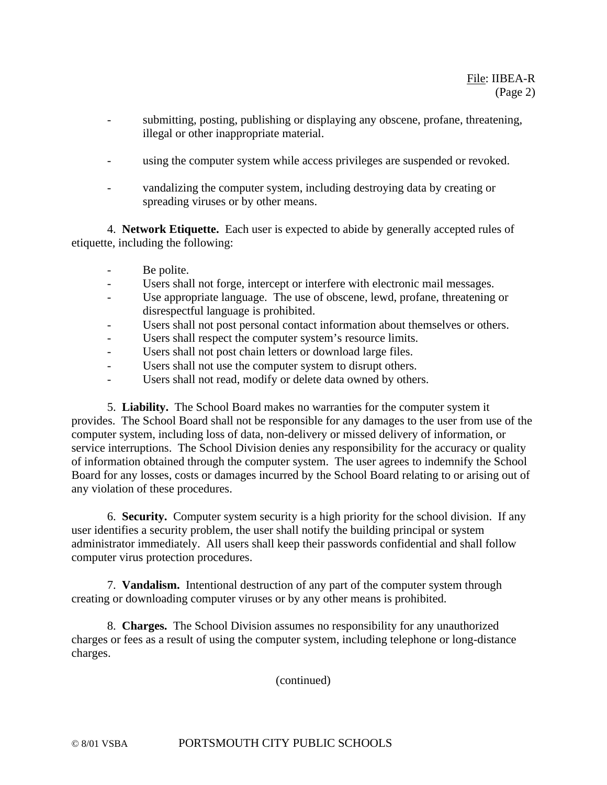- submitting, posting, publishing or displaying any obscene, profane, threatening, illegal or other inappropriate material.
- using the computer system while access privileges are suspended or revoked.
- vandalizing the computer system, including destroying data by creating or spreading viruses or by other means.

4. **Network Etiquette.** Each user is expected to abide by generally accepted rules of etiquette, including the following:

- Be polite.
- Users shall not forge, intercept or interfere with electronic mail messages.
- Use appropriate language. The use of obscene, lewd, profane, threatening or disrespectful language is prohibited.
- Users shall not post personal contact information about themselves or others.
- Users shall respect the computer system's resource limits.
- Users shall not post chain letters or download large files.
- Users shall not use the computer system to disrupt others.
- Users shall not read, modify or delete data owned by others.

5. **Liability.** The School Board makes no warranties for the computer system it provides. The School Board shall not be responsible for any damages to the user from use of the computer system, including loss of data, non-delivery or missed delivery of information, or service interruptions. The School Division denies any responsibility for the accuracy or quality of information obtained through the computer system. The user agrees to indemnify the School Board for any losses, costs or damages incurred by the School Board relating to or arising out of any violation of these procedures.

6. **Security.** Computer system security is a high priority for the school division. If any user identifies a security problem, the user shall notify the building principal or system administrator immediately. All users shall keep their passwords confidential and shall follow computer virus protection procedures.

7. **Vandalism.** Intentional destruction of any part of the computer system through creating or downloading computer viruses or by any other means is prohibited.

8. **Charges.** The School Division assumes no responsibility for any unauthorized charges or fees as a result of using the computer system, including telephone or long-distance charges.

(continued)